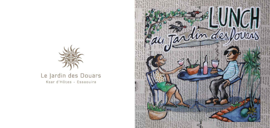

# Le Jardin des Douars Ksar d'Hôtes - Essaouira